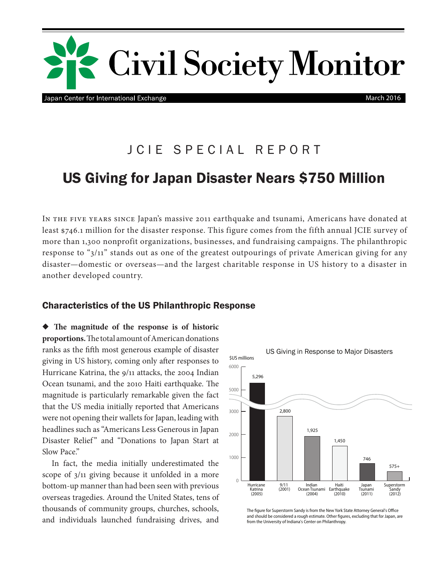

Japan Center for International Exchange

March 2016

# JCIE SPECIAL REPORT

## US Giving for Japan Disaster Nears \$750 Million

In the five years since Japan's massive 2011 earthquake and tsunami, Americans have donated at least \$746.1 million for the disaster response. This figure comes from the fifth annual JCIE survey of more than 1,300 nonprofit organizations, businesses, and fundraising campaigns. The philanthropic response to "3/11" stands out as one of the greatest outpourings of private American giving for any disaster—domestic or overseas—and the largest charitable response in US history to a disaster in another developed country.

### Characteristics of the US Philanthropic Response

 $\blacklozenge$  The magnitude of the response is of historic **proportions.** The total amount of American donations ranks as the ffh most generous example of disaster giving in US history, coming only afer responses to Hurricane Katrina, the 9/11 attacks, the 2004 Indian Ocean tsunami, and the 2010 Haiti earthquake. The magnitude is particularly remarkable given the fact that the US media initially reported that Americans were not opening their wallets for Japan, leading with headlines such as "Americans Less Generous in Japan Disaster Relief" and "Donations to Japan Start at Slow Pace."

In fact, the media initially underestimated the scope of 3/11 giving because it unfolded in a more bottom-up manner than had been seen with previous overseas tragedies. Around the United States, tens of thousands of community groups, churches, schools, and individuals launched fundraising drives, and



The figure for Superstorm Sandy is from the New York State Attorney General's Office and should be considered a rough estimate. Other fgures, excluding that for Japan, are from the University of Indiana's Center on Philanthropy.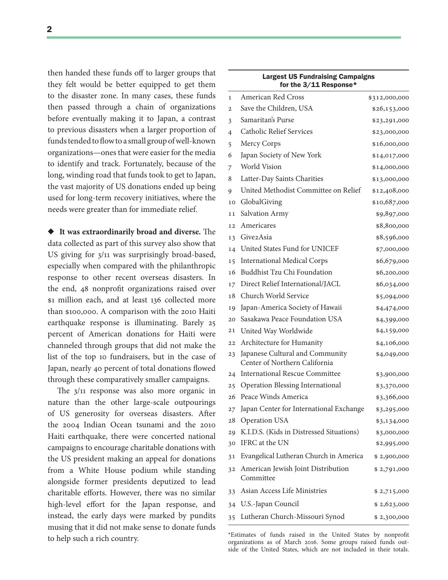2

then handed these funds off to larger groups that they felt would be better equipped to get them to the disaster zone. In many cases, these funds then passed through a chain of organizations before eventually making it to Japan, a contrast to previous disasters when a larger proportion of funds tended to flow to a small group of well-known organizations—ones that were easier for the media to identify and track. Fortunately, because of the long, winding road that funds took to get to Japan, the vast majority of US donations ended up being used for long-term recovery initiatives, where the needs were greater than for immediate relief.

 $\blacklozenge$  It was extraordinarily broad and diverse. The data collected as part of this survey also show that US giving for 3/11 was surprisingly broad-based, especially when compared with the philanthropic response to other recent overseas disasters. In the end, 48 nonproft organizations raised over \$1 million each, and at least 136 collected more than \$100,000. A comparison with the 2010 Haiti earthquake response is illuminating. Barely 25 percent of American donations for Haiti were channeled through groups that did not make the list of the top 10 fundraisers, but in the case of Japan, nearly 40 percent of total donations flowed through these comparatively smaller campaigns.

The  $3/11$  response was also more organic in nature than the other large-scale outpourings of US generosity for overseas disasters. Afer the 2004 Indian Ocean tsunami and the 2010 Haiti earthquake, there were concerted national campaigns to encourage charitable donations with the US president making an appeal for donations from a White House podium while standing alongside former presidents deputized to lead charitable eforts. However, there was no similar high-level efort for the Japan response, and instead, the early days were marked by pundits musing that it did not make sense to donate funds to help such a rich country.

| for the 3/11 Response* |                                                                  |               |
|------------------------|------------------------------------------------------------------|---------------|
| $\mathbf{1}$           | <b>American Red Cross</b>                                        | \$312,000,000 |
| $\overline{2}$         | Save the Children, USA                                           | \$26,153,000  |
| 3                      | Samaritan's Purse                                                | \$23,291,000  |
| 4                      | <b>Catholic Relief Services</b>                                  | \$23,000,000  |
| 5                      | Mercy Corps                                                      | \$16,000,000  |
| 6                      | Japan Society of New York                                        | \$14,017,000  |
| 7                      | World Vision                                                     | \$14,000,000  |
| 8                      | Latter-Day Saints Charities                                      | \$13,000,000  |
| 9                      | United Methodist Committee on Relief                             | \$12,408,000  |
| 10                     | GlobalGiving                                                     | \$10,687,000  |
| 11                     | Salvation Army                                                   | \$9,897,000   |
| 12 <sup>2</sup>        | Americares                                                       | \$8,800,000   |
| 13                     | Give2Asia                                                        | \$8,596,000   |
| 14                     | United States Fund for UNICEF                                    | \$7,000,000   |
| 15                     | <b>International Medical Corps</b>                               | \$6,679,000   |
| 16                     | <b>Buddhist Tzu Chi Foundation</b>                               | \$6,200,000   |
| 17                     | Direct Relief International/JACL                                 | \$6,034,000   |
| 18                     | Church World Service                                             | \$5,094,000   |
| 19                     | Japan-America Society of Hawaii                                  | \$4,474,000   |
| 20                     | Sasakawa Peace Foundation USA                                    | \$4,399,000   |
| 21                     | United Way Worldwide                                             | \$4,159,000   |
| 22                     | Architecture for Humanity                                        | \$4,106,000   |
| 23                     | Japanese Cultural and Community<br>Center of Northern California | \$4,049,000   |
| 24                     | <b>International Rescue Committee</b>                            | \$3,900,000   |
| 25                     | Operation Blessing International                                 | \$3,370,000   |
| 26                     | Peace Winds America                                              | \$3,366,000   |
|                        | 27 Japan Center for International Exchange                       | \$3,295,000   |
| 28                     | <b>Operation USA</b>                                             | \$3,134,000   |
| 29                     | K.I.D.S. (Kids in Distressed Situations)                         | \$3,000,000   |
| 30                     | IFRC at the UN                                                   | \$2,995,000   |
| 31                     | Evangelical Lutheran Church in America                           | \$2,900,000   |
| 32                     | American Jewish Joint Distribution<br>Committee                  | \$2,791,000   |
| 33                     | Asian Access Life Ministries                                     | \$2,715,000   |
| 34                     | U.S.-Japan Council                                               | \$2,623,000   |
| 35                     | Lutheran Church-Missouri Synod                                   | \$2,300,000   |
|                        |                                                                  |               |

\*Estimates of funds raised in the United States by nonproft organizations as of March 2016. Some groups raised funds outside of the United States, which are not included in their totals.

## Largest US Fundraising Campaigns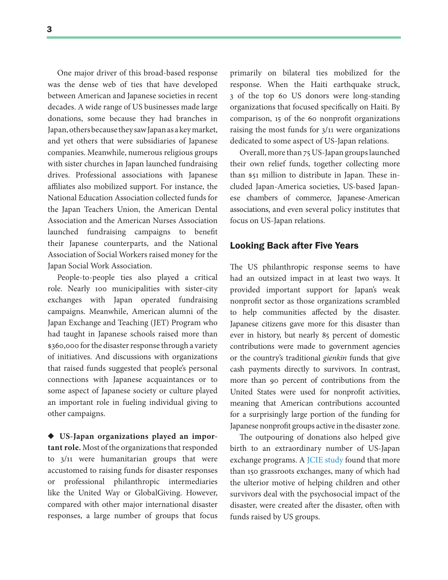One major driver of this broad-based response was the dense web of ties that have developed between American and Japanese societies in recent decades. A wide range of US businesses made large donations, some because they had branches in Japan, others because they saw Japan as a key market, and yet others that were subsidiaries of Japanese companies. Meanwhile, numerous religious groups with sister churches in Japan launched fundraising drives. Professional associations with Japanese afliates also mobilized support. For instance, the National Education Association collected funds for the Japan Teachers Union, the American Dental Association and the American Nurses Association launched fundraising campaigns to beneft their Japanese counterparts, and the National Association of Social Workers raised money for the Japan Social Work Association.

People-to-people ties also played a critical role. Nearly 100 municipalities with sister-city exchanges with Japan operated fundraising campaigns. Meanwhile, American alumni of the Japan Exchange and Teaching (JET) Program who had taught in Japanese schools raised more than \$360,000 for the disaster response through a variety of initiatives. And discussions with organizations that raised funds suggested that people's personal connections with Japanese acquaintances or to some aspect of Japanese society or culture played an important role in fueling individual giving to other campaigns.

X **US-Japan organizations played an important role.** Most of the organizations that responded to 3/11 were humanitarian groups that were accustomed to raising funds for disaster responses or professional philanthropic intermediaries like the United Way or GlobalGiving. However, compared with other major international disaster responses, a large number of groups that focus

primarily on bilateral ties mobilized for the response. When the Haiti earthquake struck, 3 of the top 60 US donors were long-standing organizations that focused specifcally on Haiti. By comparison, 15 of the 60 nonproft organizations raising the most funds for 3/11 were organizations dedicated to some aspect of US-Japan relations.

Overall, more than 75 US-Japan groups launched their own relief funds, together collecting more than \$51 million to distribute in Japan. These included Japan-America societies, US-based Japanese chambers of commerce, Japanese-American associations, and even several policy institutes that focus on US-Japan relations.

### Looking Back after Five Years

The US philanthropic response seems to have had an outsized impact in at least two ways. It provided important support for Japan's weak nonproft sector as those organizations scrambled to help communities afected by the disaster. Japanese citizens gave more for this disaster than ever in history, but nearly 85 percent of domestic contributions were made to government agencies or the country's traditional gienkin funds that give cash payments directly to survivors. In contrast, more than 90 percent of contributions from the United States were used for nonproft activities, meaning that American contributions accounted for a surprisingly large portion of the funding for Japanese nonproft groups active in the disaster zone.

The outpouring of donations also helped give birth to an extraordinary number of US-Japan exchange programs. A [JCIE study](http://2011disaster.jcie.org/our-response/311grassrootsexchange/) found that more than 150 grassroots exchanges, many of which had the ulterior motive of helping children and other survivors deal with the psychosocial impact of the disaster, were created after the disaster, often with funds raised by US groups.